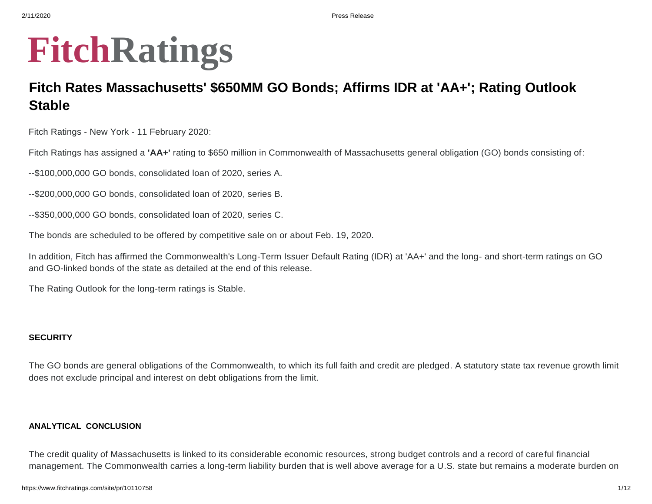# **FitchRatings**

# **Fitch Rates Massachusetts' \$650MM GO Bonds; Affirms IDR at 'AA+'; Rating Outlook Stable**

Fitch Ratings - New York - 11 February 2020:

Fitch Ratings has assigned a **'AA+'** rating to \$650 million in Commonwealth of Massachusetts general obligation (GO) bonds consisting of:

--\$100,000,000 GO bonds, consolidated loan of 2020, series A.

--\$200,000,000 GO bonds, consolidated loan of 2020, series B.

--\$350,000,000 GO bonds, consolidated loan of 2020, series C.

The bonds are scheduled to be offered by competitive sale on or about Feb. 19, 2020.

In addition, Fitch has affirmed the Commonwealth's Long-Term Issuer Default Rating (IDR) at 'AA+' and the long- and short-term ratings on GO and GO-linked bonds of the state as detailed at the end of this release.

The Rating Outlook for the long-term ratings is Stable.

#### **SECURITY**

The GO bonds are general obligations of the Commonwealth, to which its full faith and credit are pledged. A statutory state tax revenue growth limit does not exclude principal and interest on debt obligations from the limit.

#### **ANALYTICAL CONCLUSION**

The credit quality of Massachusetts is linked to its considerable economic resources, strong budget controls and a record of careful financial management. The Commonwealth carries a long-term liability burden that is well above average for a U.S. state but remains a moderate burden on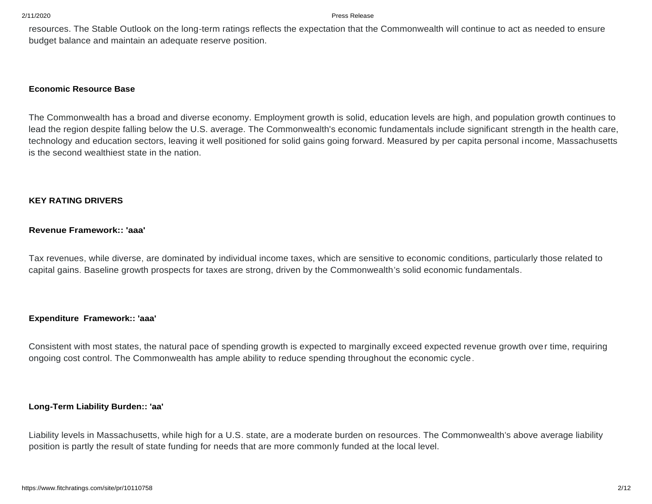resources. The Stable Outlook on the long-term ratings reflects the expectation that the Commonwealth will continue to act as needed to ensure budget balance and maintain an adequate reserve position.

#### **Economic Resource Base**

The Commonwealth has a broad and diverse economy. Employment growth is solid, education levels are high, and population growth continues to lead the region despite falling below the U.S. average. The Commonwealth's economic fundamentals include significant strength in the health care, technology and education sectors, leaving it well positioned for solid gains going forward. Measured by per capita personal income, Massachusetts is the second wealthiest state in the nation.

#### **KEY RATING DRIVERS**

#### **Revenue Framework:: 'aaa'**

Tax revenues, while diverse, are dominated by individual income taxes, which are sensitive to economic conditions, particularly those related to capital gains. Baseline growth prospects for taxes are strong, driven by the Commonwealth's solid economic fundamentals.

#### **Expenditure Framework:: 'aaa'**

Consistent with most states, the natural pace of spending growth is expected to marginally exceed expected revenue growth over time, requiring ongoing cost control. The Commonwealth has ample ability to reduce spending throughout the economic cycle.

#### **Long-Term Liability Burden:: 'aa'**

Liability levels in Massachusetts, while high for a U.S. state, are a moderate burden on resources. The Commonwealth's above average liability position is partly the result of state funding for needs that are more commonly funded at the local level.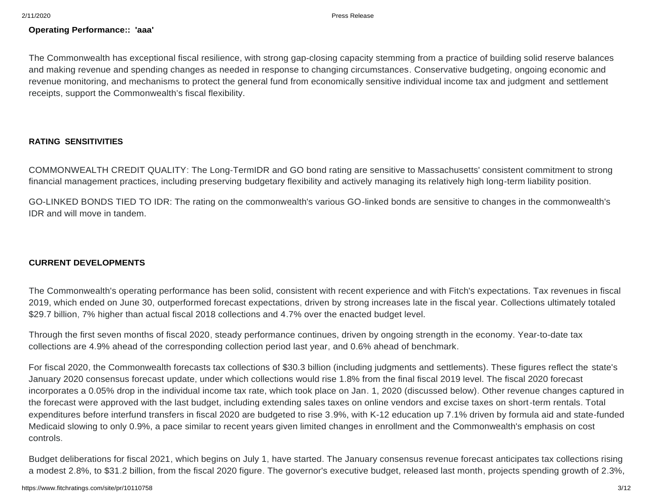#### **Operating Performance:: 'aaa'**

The Commonwealth has exceptional fiscal resilience, with strong gap-closing capacity stemming from a practice of building solid reserve balances and making revenue and spending changes as needed in response to changing circumstances. Conservative budgeting, ongoing economic and revenue monitoring, and mechanisms to protect the general fund from economically sensitive individual income tax and judgment and settlement receipts, support the Commonwealth's fiscal flexibility.

#### **RATING SENSITIVITIES**

COMMONWEALTH CREDIT QUALITY: The Long-TermIDR and GO bond rating are sensitive to Massachusetts' consistent commitment to strong financial management practices, including preserving budgetary flexibility and actively managing its relatively high long-term liability position.

GO-LINKED BONDS TIED TO IDR: The rating on the commonwealth's various GO-linked bonds are sensitive to changes in the commonwealth's IDR and will move in tandem.

#### **CURRENT DEVELOPMENTS**

The Commonwealth's operating performance has been solid, consistent with recent experience and with Fitch's expectations. Tax revenues in fiscal 2019, which ended on June 30, outperformed forecast expectations, driven by strong increases late in the fiscal year. Collections ultimately totaled \$29.7 billion, 7% higher than actual fiscal 2018 collections and 4.7% over the enacted budget level.

Through the first seven months of fiscal 2020, steady performance continues, driven by ongoing strength in the economy. Year-to-date tax collections are 4.9% ahead of the corresponding collection period last year, and 0.6% ahead of benchmark.

For fiscal 2020, the Commonwealth forecasts tax collections of \$30.3 billion (including judgments and settlements). These figures reflect the state's January 2020 consensus forecast update, under which collections would rise 1.8% from the final fiscal 2019 level. The fiscal 2020 forecast incorporates a 0.05% drop in the individual income tax rate, which took place on Jan. 1, 2020 (discussed below). Other revenue changes captured in the forecast were approved with the last budget, including extending sales taxes on online vendors and excise taxes on short-term rentals. Total expenditures before interfund transfers in fiscal 2020 are budgeted to rise 3.9%, with K-12 education up 7.1% driven by formula aid and state-funded Medicaid slowing to only 0.9%, a pace similar to recent years given limited changes in enrollment and the Commonwealth's emphasis on cost controls.

Budget deliberations for fiscal 2021, which begins on July 1, have started. The January consensus revenue forecast anticipates tax collections rising a modest 2.8%, to \$31.2 billion, from the fiscal 2020 figure. The governor's executive budget, released last month, projects spending growth of 2.3%,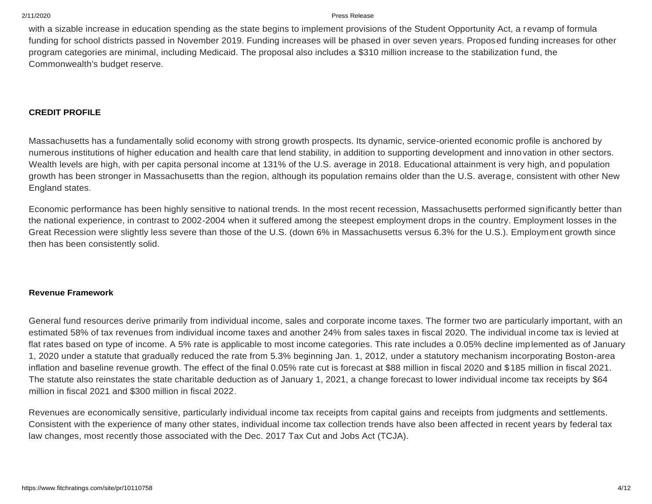with a sizable increase in education spending as the state begins to implement provisions of the Student Opportunity Act, a revamp of formula funding for school districts passed in November 2019. Funding increases will be phased in over seven years. Proposed funding increases for other program categories are minimal, including Medicaid. The proposal also includes a \$310 million increase to the stabilization fund, the Commonwealth's budget reserve.

#### **CREDIT PROFILE**

Massachusetts has a fundamentally solid economy with strong growth prospects. Its dynamic, service-oriented economic profile is anchored by numerous institutions of higher education and health care that lend stability, in addition to supporting development and innovation in other sectors. Wealth levels are high, with per capita personal income at 131% of the U.S. average in 2018. Educational attainment is very high, and population growth has been stronger in Massachusetts than the region, although its population remains older than the U.S. average, consistent with other New England states.

Economic performance has been highly sensitive to national trends. In the most recent recession, Massachusetts performed significantly better than the national experience, in contrast to 2002-2004 when it suffered among the steepest employment drops in the country. Employment losses in the Great Recession were slightly less severe than those of the U.S. (down 6% in Massachusetts versus 6.3% for the U.S.). Employment growth since then has been consistently solid.

#### **Revenue Framework**

General fund resources derive primarily from individual income, sales and corporate income taxes. The former two are particularly important, with an estimated 58% of tax revenues from individual income taxes and another 24% from sales taxes in fiscal 2020. The individual income tax is levied at flat rates based on type of income. A 5% rate is applicable to most income categories. This rate includes a 0.05% decline implemented as of January 1, 2020 under a statute that gradually reduced the rate from 5.3% beginning Jan. 1, 2012, under a statutory mechanism incorporating Boston-area inflation and baseline revenue growth. The effect of the final 0.05% rate cut is forecast at \$88 million in fiscal 2020 and \$185 million in fiscal 2021. The statute also reinstates the state charitable deduction as of January 1, 2021, a change forecast to lower individual income tax receipts by \$64 million in fiscal 2021 and \$300 million in fiscal 2022.

Revenues are economically sensitive, particularly individual income tax receipts from capital gains and receipts from judgments and settlements. Consistent with the experience of many other states, individual income tax collection trends have also been affected in recent years by federal tax law changes, most recently those associated with the Dec. 2017 Tax Cut and Jobs Act (TCJA).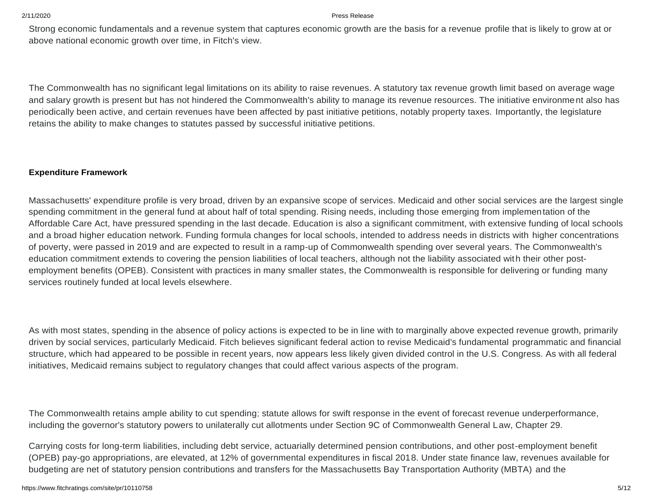Strong economic fundamentals and a revenue system that captures economic growth are the basis for a revenue profile that is likely to grow at or above national economic growth over time, in Fitch's view.

The Commonwealth has no significant legal limitations on its ability to raise revenues. A statutory tax revenue growth limit based on average wage and salary growth is present but has not hindered the Commonwealth's ability to manage its revenue resources. The initiative environment also has periodically been active, and certain revenues have been affected by past initiative petitions, notably property taxes. Importantly, the legislature retains the ability to make changes to statutes passed by successful initiative petitions.

#### **Expenditure Framework**

Massachusetts' expenditure profile is very broad, driven by an expansive scope of services. Medicaid and other social services are the largest single spending commitment in the general fund at about half of total spending. Rising needs, including those emerging from implementation of the Affordable Care Act, have pressured spending in the last decade. Education is also a significant commitment, with extensive funding of local schools and a broad higher education network. Funding formula changes for local schools, intended to address needs in districts with higher concentrations of poverty, were passed in 2019 and are expected to result in a ramp-up of Commonwealth spending over several years. The Commonwealth's education commitment extends to covering the pension liabilities of local teachers, although not the liability associated with their other postemployment benefits (OPEB). Consistent with practices in many smaller states, the Commonwealth is responsible for delivering or funding many services routinely funded at local levels elsewhere.

As with most states, spending in the absence of policy actions is expected to be in line with to marginally above expected revenue growth, primarily driven by social services, particularly Medicaid. Fitch believes significant federal action to revise Medicaid's fundamental programmatic and financial structure, which had appeared to be possible in recent years, now appears less likely given divided control in the U.S. Congress. As with all federal initiatives, Medicaid remains subject to regulatory changes that could affect various aspects of the program.

The Commonwealth retains ample ability to cut spending; statute allows for swift response in the event of forecast revenue underperformance, including the governor's statutory powers to unilaterally cut allotments under Section 9C of Commonwealth General Law, Chapter 29.

Carrying costs for long-term liabilities, including debt service, actuarially determined pension contributions, and other post-employment benefit (OPEB) pay-go appropriations, are elevated, at 12% of governmental expenditures in fiscal 2018. Under state finance law, revenues available for budgeting are net of statutory pension contributions and transfers for the Massachusetts Bay Transportation Authority (MBTA) and the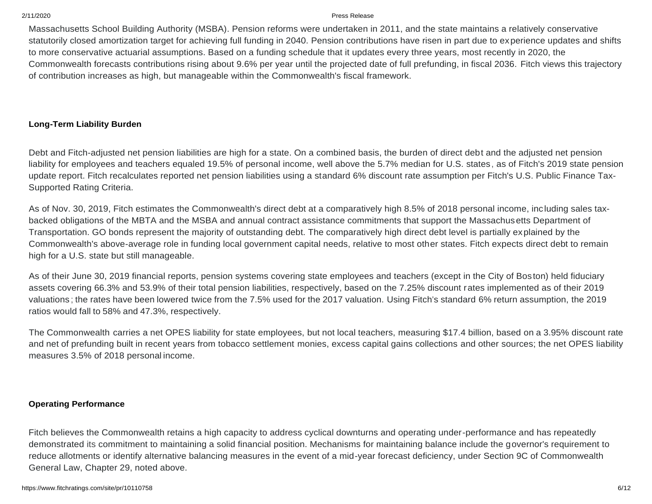Massachusetts School Building Authority (MSBA). Pension reforms were undertaken in 2011, and the state maintains a relatively conservative statutorily closed amortization target for achieving full funding in 2040. Pension contributions have risen in part due to experience updates and shifts to more conservative actuarial assumptions. Based on a funding schedule that it updates every three years, most recently in 2020, the Commonwealth forecasts contributions rising about 9.6% per year until the projected date of full prefunding, in fiscal 2036. Fitch views this trajectory of contribution increases as high, but manageable within the Commonwealth's fiscal framework.

#### **Long-Term Liability Burden**

Debt and Fitch-adjusted net pension liabilities are high for a state. On a combined basis, the burden of direct debt and the adjusted net pension liability for employees and teachers equaled 19.5% of personal income, well above the 5.7% median for U.S. states, as of Fitch's 2019 state pension update report. Fitch recalculates reported net pension liabilities using a standard 6% discount rate assumption per Fitch's U.S. Public Finance Tax-Supported Rating Criteria.

As of Nov. 30, 2019, Fitch estimates the Commonwealth's direct debt at a comparatively high 8.5% of 2018 personal income, including sales taxbacked obligations of the MBTA and the MSBA and annual contract assistance commitments that support the Massachusetts Department of Transportation. GO bonds represent the majority of outstanding debt. The comparatively high direct debt level is partially explained by the Commonwealth's above-average role in funding local government capital needs, relative to most other states. Fitch expects direct debt to remain high for a U.S. state but still manageable.

As of their June 30, 2019 financial reports, pension systems covering state employees and teachers (except in the City of Boston) held fiduciary assets covering 66.3% and 53.9% of their total pension liabilities, respectively, based on the 7.25% discount rates implemented as of their 2019 valuations ; the rates have been lowered twice from the 7.5% used for the 2017 valuation. Using Fitch's standard 6% return assumption, the 2019 ratios would fall to 58% and 47.3%, respectively.

The Commonwealth carries a net OPES liability for state employees, but not local teachers, measuring \$17.4 billion, based on a 3.95% discount rate and net of prefunding built in recent years from tobacco settlement monies, excess capital gains collections and other sources; the net OPES liability measures 3.5% of 2018 personal income.

#### **Operating Performance**

Fitch believes the Commonwealth retains a high capacity to address cyclical downturns and operating under-performance and has repeatedly demonstrated its commitment to maintaining a solid financial position. Mechanisms for maintaining balance include the governor's requirement to reduce allotments or identify alternative balancing measures in the event of a mid-year forecast deficiency, under Section 9C of Commonwealth General Law, Chapter 29, noted above.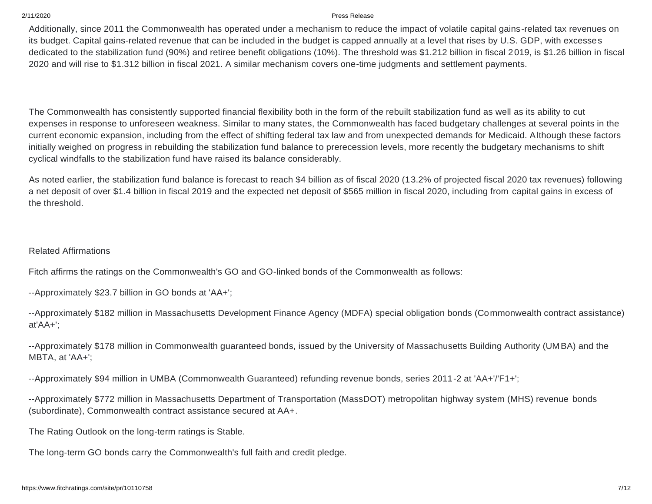Additionally, since 2011 the Commonwealth has operated under a mechanism to reduce the impact of volatile capital gains-related tax revenues on its budget. Capital gains-related revenue that can be included in the budget is capped annually at a level that rises by U.S. GDP, with excesses dedicated to the stabilization fund (90%) and retiree benefit obligations (10%). The threshold was \$1.212 billion in fiscal 2019, is \$1.26 billion in fiscal 2020 and will rise to \$1.312 billion in fiscal 2021. A similar mechanism covers one-time judgments and settlement payments.

The Commonwealth has consistently supported financial flexibility both in the form of the rebuilt stabilization fund as well as its ability to cut expenses in response to unforeseen weakness. Similar to many states, the Commonwealth has faced budgetary challenges at several points in the current economic expansion, including from the effect of shifting federal tax law and from unexpected demands for Medicaid. Although these factors initially weighed on progress in rebuilding the stabilization fund balance to prerecession levels, more recently the budgetary mechanisms to shift cyclical windfalls to the stabilization fund have raised its balance considerably.

As noted earlier, the stabilization fund balance is forecast to reach \$4 billion as of fiscal 2020 (13.2% of projected fiscal 2020 tax revenues) following a net deposit of over \$1.4 billion in fiscal 2019 and the expected net deposit of \$565 million in fiscal 2020, including from capital gains in excess of the threshold.

#### Related Affirmations

Fitch affirms the ratings on the Commonwealth's GO and GO-linked bonds of the Commonwealth as follows:

--Approximately \$23.7 billion in GO bonds at 'AA+';

--Approximately \$182 million in Massachusetts Development Finance Agency (MDFA) special obligation bonds (Commonwealth contract assistance) at'AA+';

--Approximately \$178 million in Commonwealth guaranteed bonds, issued by the University of Massachusetts Building Authority (UMBA) and the MBTA, at 'AA+';

--Approximately \$94 million in UMBA (Commonwealth Guaranteed) refunding revenue bonds, series 2011-2 at 'AA+'/'F1+';

--Approximately \$772 million in Massachusetts Department of Transportation (MassDOT) metropolitan highway system (MHS) revenue bonds (subordinate), Commonwealth contract assistance secured at AA+.

The Rating Outlook on the long-term ratings is Stable.

The long-term GO bonds carry the Commonwealth's full faith and credit pledge.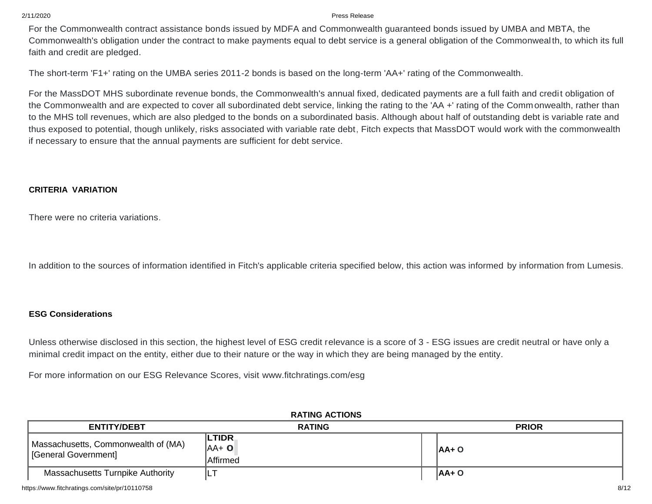For the Commonwealth contract assistance bonds issued by MDFA and Commonwealth guaranteed bonds issued by UMBA and MBTA, the Commonwealth's obligation under the contract to make payments equal to debt service is a general obligation of the Commonwealth, to which its full faith and credit are pledged.

The short-term 'F1+' rating on the UMBA series 2011-2 bonds is based on the long-term 'AA+' rating of the Commonwealth.

For the MassDOT MHS subordinate revenue bonds, the Commonwealth's annual fixed, dedicated payments are a full faith and credit obligation of the Commonwealth and are expected to cover all subordinated debt service, linking the rating to the 'AA +' rating of the Commonwealth, rather than to the MHS toll revenues, which are also pledged to the bonds on a subordinated basis. Although about half of outstanding debt is variable rate and thus exposed to potential, though unlikely, risks associated with variable rate debt, Fitch expects that MassDOT would work with the commonwealth if necessary to ensure that the annual payments are sufficient for debt service.

#### **CRITERIA VARIATION**

There were no criteria variations.

In addition to the sources of information identified in Fitch's applicable criteria specified below, this action was informed by information from Lumesis.

#### **ESG Considerations**

Unless otherwise disclosed in this section, the highest level of ESG credit relevance is a score of 3 - ESG issues are credit neutral or have only a minimal credit impact on the entity, either due to their nature or the way in which they are being managed by the entity.

For more information on our ESG Relevance Scores, visit [www.fitchratings.com/esg](http://www.fitchratings.com/esg)

| <b>RATING ACTIONS</b>                                         |                                          |              |  |  |
|---------------------------------------------------------------|------------------------------------------|--------------|--|--|
| <b>ENTITY/DEBT</b>                                            | <b>RATING</b>                            | <b>PRIOR</b> |  |  |
| Massachusetts, Commonwealth of (MA)<br>  [General Government] | <b>LTIDR</b><br><b>AA+ O</b><br>Affirmed | $AA+O$       |  |  |
| Massachusetts Turnpike Authority                              | ı —                                      | $AA+O$       |  |  |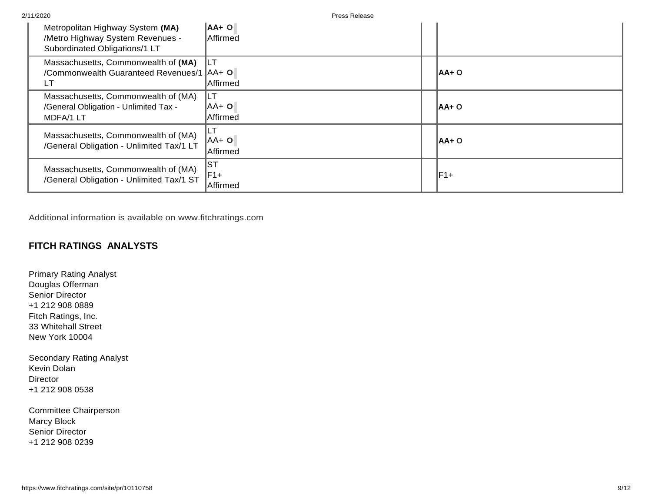| Metropolitan Highway System (MA)<br>/Metro Highway System Revenues -<br>Subordinated Obligations/1 LT | AA+ O<br>Affirmed                |              |
|-------------------------------------------------------------------------------------------------------|----------------------------------|--------------|
| Massachusetts, Commonwealth of (MA)<br>/Commonwealth Guaranteed Revenues/1 AA+ O<br>LT                | LΤ<br><b>Affirmed</b>            | <b>AA+O</b>  |
| Massachusetts, Commonwealth of (MA)<br>/General Obligation - Unlimited Tax -<br>MDFA/1 LT             | ДT.<br>IAA+ O<br><b>Affirmed</b> | <b>JAA+O</b> |
| Massachusetts, Commonwealth of (MA)<br>/General Obligation - Unlimited Tax/1 LT                       | AA+ O<br><b>Affirmed</b>         | <b>AA+O</b>  |
| Massachusetts, Commonwealth of (MA)<br>/General Obligation - Unlimited Tax/1 ST                       | ST <br>$F1+$<br>Affirmed         | $ F1+$       |

Additional information is available on [www.fitchratings.com](http://www.fitchratings.com/)

## **FITCH RATINGS ANALYSTS**

Primary Rating Analyst Douglas Offerman Senior Director +1 212 908 0889 Fitch Ratings, Inc. 33 Whitehall Street New York 10004

Secondary Rating Analyst Kevin Dolan **Director** +1 212 908 0538

Committee Chairperson Marcy Block Senior Director +1 212 908 0239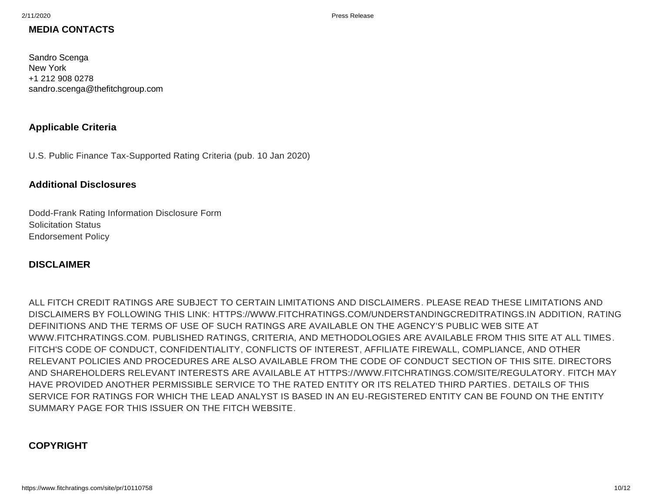### **MEDIA CONTACTS**

Sandro Scenga New York +1 212 908 0278 [sandro.scenga@thefitchgroup.com](mailto:sandro.scenga@thefitchgroup.com)

### **Applicable Criteria**

U.S. Public Finance Tax-Supported Rating Criteria (pub. 10 Jan 2020)

#### **Additional Disclosures**

Dodd-Frank Rating Information Disclosure Form Solicitation Status Endorsement Policy

### **DISCLAIMER**

ALL FITCH CREDIT RATINGS ARE SUBJECT TO CERTAIN LIMITATIONS AND DISCLAIMERS. PLEASE READ THESE LIMITATIONS AND DISCLAIMERS BY FOLLOWING THIS LINK: HTTPS:[//WWW.FITCHRATINGS.COM/UNDERSTANDINGCREDITRATINGS.IN](http://www.fitchratings.com/UNDERSTANDINGCREDITRATINGS.IN) ADDITION, RATING DEFINITIONS AND THE TERMS OF USE OF SUCH RATINGS ARE AVAILABLE ON THE AGENCY'S PUBLIC WEB SITE AT [WWW.FITCHRATINGS.COM.](http://www.fitchratings.com/) PUBLISHED RATINGS, CRITERIA, AND METHODOLOGIES ARE AVAILABLE FROM THIS SITE AT ALL TIMES. FITCH'S CODE OF CONDUCT, CONFIDENTIALITY, CONFLICTS OF INTEREST, AFFILIATE FIREWALL, COMPLIANCE, AND OTHER RELEVANT POLICIES AND PROCEDURES ARE ALSO AVAILABLE FROM THE CODE OF CONDUCT SECTION OF THIS SITE. DIRECTORS AND SHAREHOLDERS RELEVANT INTERESTS ARE AVAILABLE AT HTTPS:[//WWW.FITCHRATINGS.COM/SITE/REGULATORY.](http://www.fitchratings.com/SITE/REGULATORY) FITCH MAY HAVE PROVIDED ANOTHER PERMISSIBLE SERVICE TO THE RATED ENTITY OR ITS RELATED THIRD PARTIES. DETAILS OF THIS SERVICE FOR RATINGS FOR WHICH THE LEAD ANALYST IS BASED IN AN EU-REGISTERED ENTITY CAN BE FOUND ON THE ENTITY SUMMARY PAGE FOR THIS ISSUER ON THE FITCH WEBSITE.

### **COPYRIGHT**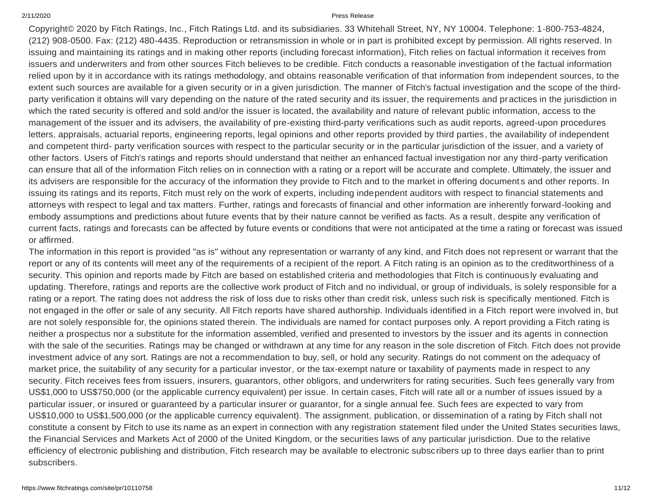Copyright© 2020 by Fitch Ratings, Inc., Fitch Ratings Ltd. and its subsidiaries. 33 Whitehall Street, NY, NY 10004. Telephone: 1-800-753-4824, (212) 908-0500. Fax: (212) 480-4435. Reproduction or retransmission in whole or in part is prohibited except by permission. All rights reserved. In issuing and maintaining its ratings and in making other reports (including forecast information), Fitch relies on factual information it receives from issuers and underwriters and from other sources Fitch believes to be credible. Fitch conducts a reasonable investigation of the factual information relied upon by it in accordance with its ratings methodology, and obtains reasonable verification of that information from independent sources, to the extent such sources are available for a given security or in a given jurisdiction. The manner of Fitch's factual investigation and the scope of the thirdparty verification it obtains will vary depending on the nature of the rated security and its issuer, the requirements and practices in the jurisdiction in which the rated security is offered and sold and/or the issuer is located, the availability and nature of relevant public information, access to the management of the issuer and its advisers, the availability of pre-existing third-party verifications such as audit reports, agreed-upon procedures letters, appraisals, actuarial reports, engineering reports, legal opinions and other reports provided by third parties, the availability of independent and competent third- party verification sources with respect to the particular security or in the particular jurisdiction of the issuer, and a variety of other factors. Users of Fitch's ratings and reports should understand that neither an enhanced factual investigation nor any third-party verification can ensure that all of the information Fitch relies on in connection with a rating or a report will be accurate and complete. Ultimately, the issuer and its advisers are responsible for the accuracy of the information they provide to Fitch and to the market in offering document s and other reports. In issuing its ratings and its reports, Fitch must rely on the work of experts, including independent auditors with respect to financial statements and attorneys with respect to legal and tax matters. Further, ratings and forecasts of financial and other information are inherently forward-looking and embody assumptions and predictions about future events that by their nature cannot be verified as facts. As a result, despite any verification of current facts, ratings and forecasts can be affected by future events or conditions that were not anticipated at the time a rating or forecast was issued or affirmed.

The information in this report is provided "as is" without any representation or warranty of any kind, and Fitch does not represent or warrant that the report or any of its contents will meet any of the requirements of a recipient of the report. A Fitch rating is an opinion as to the creditworthiness of a security. This opinion and reports made by Fitch are based on established criteria and methodologies that Fitch is continuously evaluating and updating. Therefore, ratings and reports are the collective work product of Fitch and no individual, or group of individuals, is solely responsible for a rating or a report. The rating does not address the risk of loss due to risks other than credit risk, unless such risk is specifically mentioned. Fitch is not engaged in the offer or sale of any security. All Fitch reports have shared authorship. Individuals identified in a Fitch report were involved in, but are not solely responsible for, the opinions stated therein. The individuals are named for contact purposes only. A report providing a Fitch rating is neither a prospectus nor a substitute for the information assembled, verified and presented to investors by the issuer and its agents in connection with the sale of the securities. Ratings may be changed or withdrawn at any time for any reason in the sole discretion of Fitch. Fitch does not provide investment advice of any sort. Ratings are not a recommendation to buy, sell, or hold any security. Ratings do not comment on the adequacy of market price, the suitability of any security for a particular investor, or the tax-exempt nature or taxability of payments made in respect to any security. Fitch receives fees from issuers, insurers, guarantors, other obligors, and underwriters for rating securities. Such fees generally vary from US\$1,000 to US\$750,000 (or the applicable currency equivalent) per issue. In certain cases, Fitch will rate all or a number of issues issued by a particular issuer, or insured or guaranteed by a particular insurer or guarantor, for a single annual fee. Such fees are expected to vary from US\$10,000 to US\$1,500,000 (or the applicable currency equivalent). The assignment, publication, or dissemination of a rating by Fitch shall not constitute a consent by Fitch to use its name as an expert in connection with any registration statement filed under the United States securities laws, the Financial Services and Markets Act of 2000 of the United Kingdom, or the securities laws of any particular jurisdiction. Due to the relative efficiency of electronic publishing and distribution, Fitch research may be available to electronic subscribers up to three days earlier than to print subscribers.